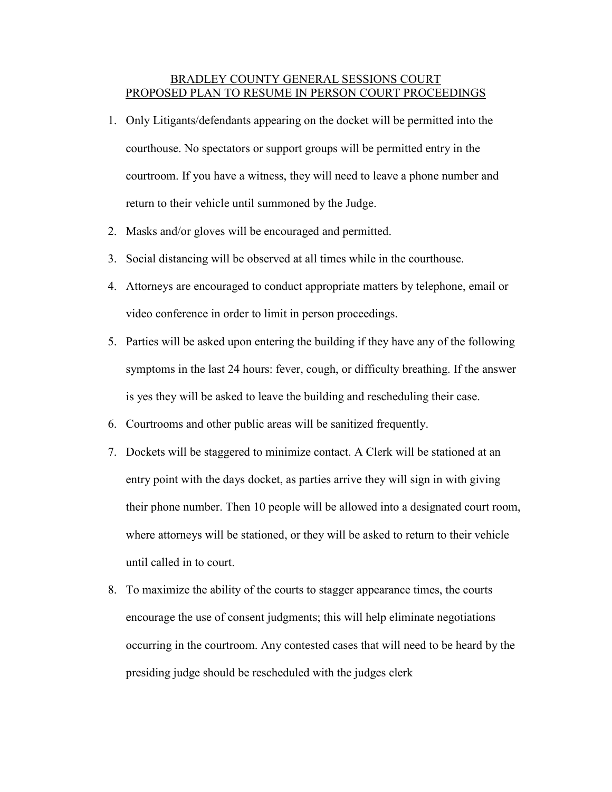## BRADLEY COUNTY GENERAL SESSIONS COURT PROPOSED PLAN TO RESUME IN PERSON COURT PROCEEDINGS

- 1. Only Litigants/defendants appearing on the docket will be permitted into the courthouse. No spectators or support groups will be permitted entry in the courtroom. If you have a witness, they will need to leave a phone number and return to their vehicle until summoned by the Judge.
- 2. Masks and/or gloves will be encouraged and permitted.
- 3. Social distancing will be observed at all times while in the courthouse.
- 4. Attorneys are encouraged to conduct appropriate matters by telephone, email or video conference in order to limit in person proceedings.
- 5. Parties will be asked upon entering the building if they have any of the following symptoms in the last 24 hours: fever, cough, or difficulty breathing. If the answer is yes they will be asked to leave the building and rescheduling their case.
- 6. Courtrooms and other public areas will be sanitized frequently.
- 7. Dockets will be staggered to minimize contact. A Clerk will be stationed at an entry point with the days docket, as parties arrive they will sign in with giving their phone number. Then 10 people will be allowed into a designated court room, where attorneys will be stationed, or they will be asked to return to their vehicle until called in to court.
- 8. To maximize the ability of the courts to stagger appearance times, the courts encourage the use of consent judgments; this will help eliminate negotiations occurring in the courtroom. Any contested cases that will need to be heard by the presiding judge should be rescheduled with the judges clerk